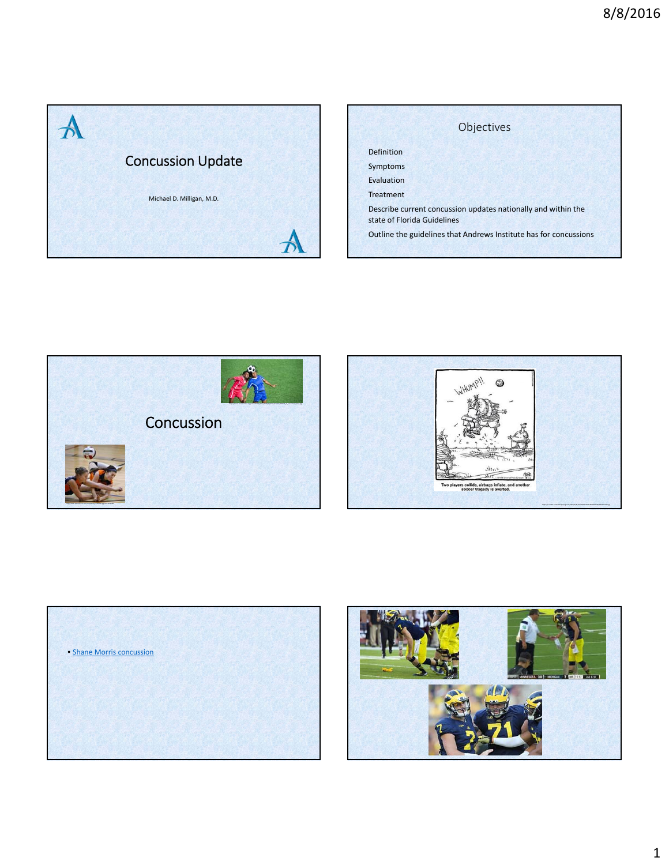

|                   | Objectives                                                                                   |
|-------------------|----------------------------------------------------------------------------------------------|
| <b>Definition</b> |                                                                                              |
| Symptoms          |                                                                                              |
| Evaluation        |                                                                                              |
| <b>Treatment</b>  |                                                                                              |
|                   | Describe current concussion updates nationally and within the<br>state of Florida Guidelines |
|                   | Outline the guidelines that Andrews Institute has for concussions                            |







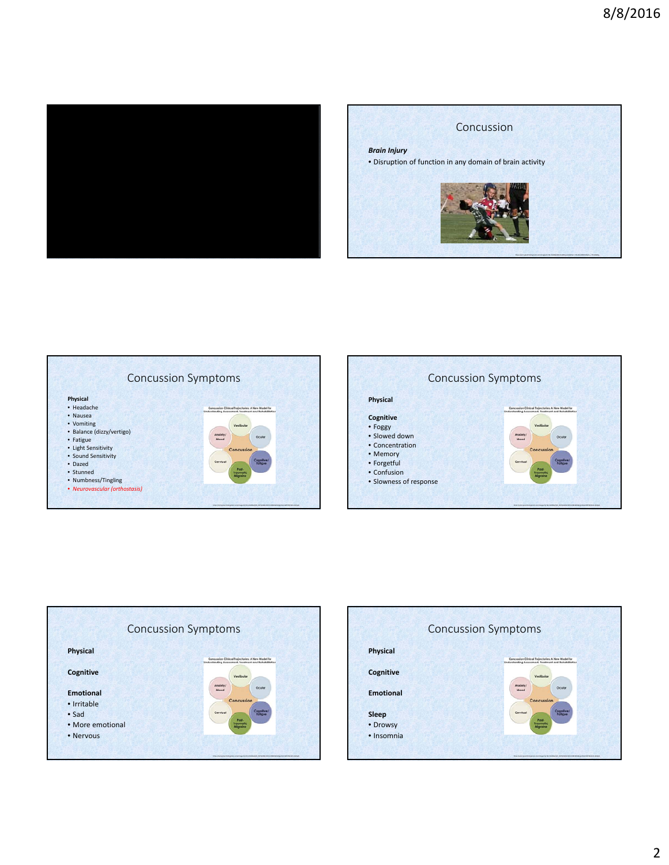









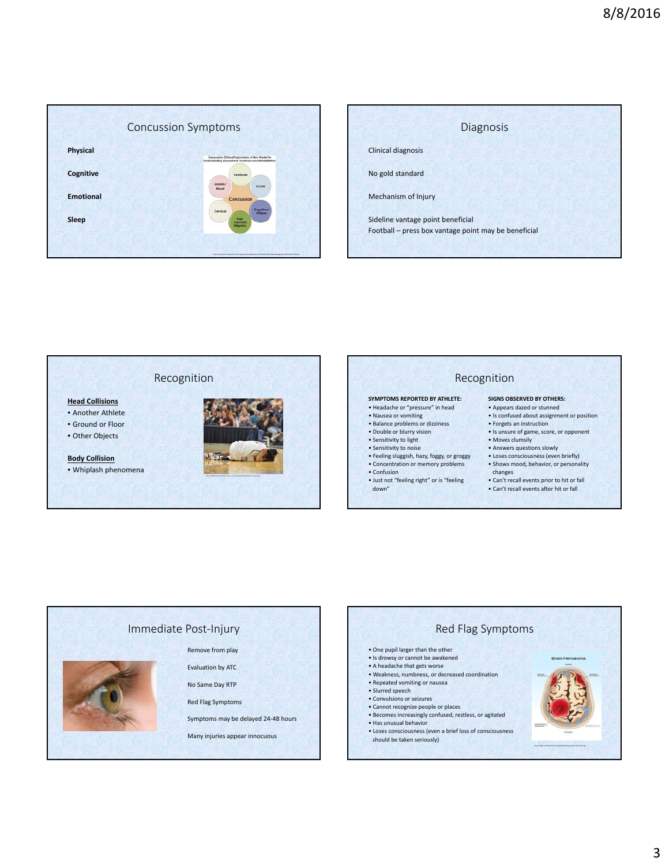





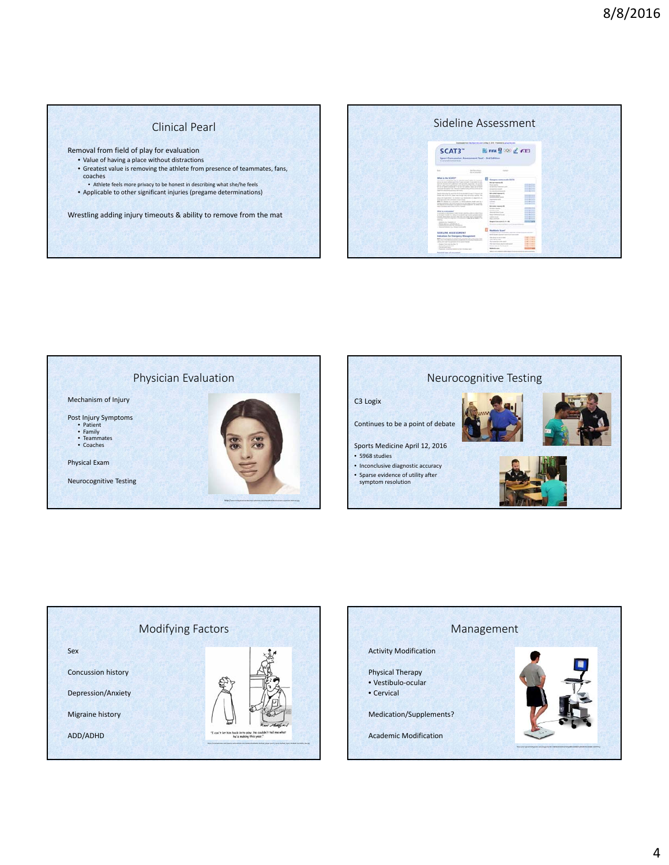# Clinical Pearl

Removal from field of play for evaluation

- Value of having a place without distractions • Greatest value is removing the athlete from presence of teammates, fans, coaches
- Athlete feels more privacy to be honest in describing what she/he feels • Applicable to other significant injuries (pregame determinations)

Wrestling adding injury timeouts & ability to remove from the mat

|                                                                                                                                                                                                                                                                                                                                                                                                                                                                                                                                                                                                                                                                                                                                                                                                                                                                                                                                                                                                                                                                                                                                                                                                                                                                                                                                                                                                                                                                                                                                                                                                                                                            | Sideline Assessment                                                                                                                                                                                                                                                                                                                                                                                                                                                                                                                                                                                                                                                                                                                              |  |
|------------------------------------------------------------------------------------------------------------------------------------------------------------------------------------------------------------------------------------------------------------------------------------------------------------------------------------------------------------------------------------------------------------------------------------------------------------------------------------------------------------------------------------------------------------------------------------------------------------------------------------------------------------------------------------------------------------------------------------------------------------------------------------------------------------------------------------------------------------------------------------------------------------------------------------------------------------------------------------------------------------------------------------------------------------------------------------------------------------------------------------------------------------------------------------------------------------------------------------------------------------------------------------------------------------------------------------------------------------------------------------------------------------------------------------------------------------------------------------------------------------------------------------------------------------------------------------------------------------------------------------------------------------|--------------------------------------------------------------------------------------------------------------------------------------------------------------------------------------------------------------------------------------------------------------------------------------------------------------------------------------------------------------------------------------------------------------------------------------------------------------------------------------------------------------------------------------------------------------------------------------------------------------------------------------------------------------------------------------------------------------------------------------------------|--|
| SCAT3"<br>Sport Concussion Assessment Teal - 3rd Edition<br>The party in the first for the party of a party                                                                                                                                                                                                                                                                                                                                                                                                                                                                                                                                                                                                                                                                                                                                                                                                                                                                                                                                                                                                                                                                                                                                                                                                                                                                                                                                                                                                                                                                                                                                                | loanization that the four-treatment day 5, 2016. Furnished by plus time col-<br>图 mm g 00 ≤ FEI                                                                                                                                                                                                                                                                                                                                                                                                                                                                                                                                                                                                                                                  |  |
| $1 - 1$<br><b>Marine Plaza</b><br><b>SEASTER</b>                                                                                                                                                                                                                                                                                                                                                                                                                                                                                                                                                                                                                                                                                                                                                                                                                                                                                                                                                                                                                                                                                                                                                                                                                                                                                                                                                                                                                                                                                                                                                                                                           | <b>Surround</b>                                                                                                                                                                                                                                                                                                                                                                                                                                                                                                                                                                                                                                                                                                                                  |  |
| Million in the NCAFEFT<br>The of this is a specialized by the relative states of the changing<br>and an excellent parties. Figure or our interest the con-<br>Anticott market of conference and projects reported this parent<br>adverse and the statements depend on the four party of the following product of<br>to print their column to an article and a rest for<br>introduce thoughts and "Mounty county to buy off- to define an a<br>Search dealers arrived to late.<br>leasing statements and the statements are apply from any or-<br>Great and the Gulf Canada and through their collection can be the<br>the property and the property property and company and company of the property of the company of<br>locked and marketings. The course is an intermediate in a manufacture of<br>leads depend a distinguished or level found.<br>and the structure of a companying at a short politician. Modern external at a<br>Ford of the department of the detail design that the country streamer is reported<br>the degrees of subseque to the parties of this mountable is a shally real<br>both a constant court from in different states.<br>What's a percentage<br>Purposes a relationary top through starting data to add a firm<br>ar to have a control to have three stands and some galaxies paid.<br>consider defectional site and shot site for all that you of an excession<br>Columns of such the columns to the complete of allegation as doesn or the<br>$-1$<br>product is a research of<br>Photo the lost information in<br>changes of any of a determined and contracts of<br>Statistical absence to a change in an in all of | <b>All Garages come such tilt in</b><br><b>Better to price \$1</b><br>$-0.0000$<br>the permanent of<br>---<br>Tel: need that it recomes to profit<br>--<br>de superior la station<br>to series arrested<br><b>CONTRACTOR</b><br><b>Business Commercial</b><br>---<br><b>Bit series movement</b><br><b>Management</b> State<br><b>STATISTICS</b><br><b>COMPANY</b><br><b>Ingenier</b> met<br><b>CONTRACTOR</b><br>$-100$<br><b>STATE</b><br><b>COMPANY</b><br><b>Bell care Associate</b><br>--<br>the latter timester.<br>----<br><b>College County</b><br>draw of firms forms<br>---<br>The crisis must be an<br>--<br><b>STATISTICS</b><br><b>SAN AVE</b><br><b>CONTRACTOR</b><br><b>The American</b><br>--<br><b>Bears Line with E 10 - Rt</b> |  |
| SIDELINE ASSESSMENT<br>Indications for Emergency Management<br><b>Bank</b> and a distinctive complete by advertising to compute a single<br>Find the P by Photos survive exhibition of a believe that were<br>the top state and in a presentation of the company and<br>Couper Transported that To<br>Stationard Association<br>Procede la Service<br>Program construction price theme and<br>Polantical signs of concursion?                                                                                                                                                                                                                                                                                                                                                                                                                                                                                                                                                                                                                                                                                                                                                                                                                                                                                                                                                                                                                                                                                                                                                                                                                              | <b>Maddische Score</b><br>THE AFT AT REAL PROPERTY AND FIRE AREA<br>bank shares agreement and sources to<br>the boom or trans-<br><b>SALES FOR THE</b><br>metalterad<br><b>HELLING</b><br><b>WAS FIRST</b><br><b>Recognized and many</b><br>the project debuty and her conferences<br><b>CASE CORP.</b><br><b>CALCULATION</b><br><b>Structure to provide the state and of-</b><br><b>Modern avenue</b>                                                                                                                                                                                                                                                                                                                                           |  |







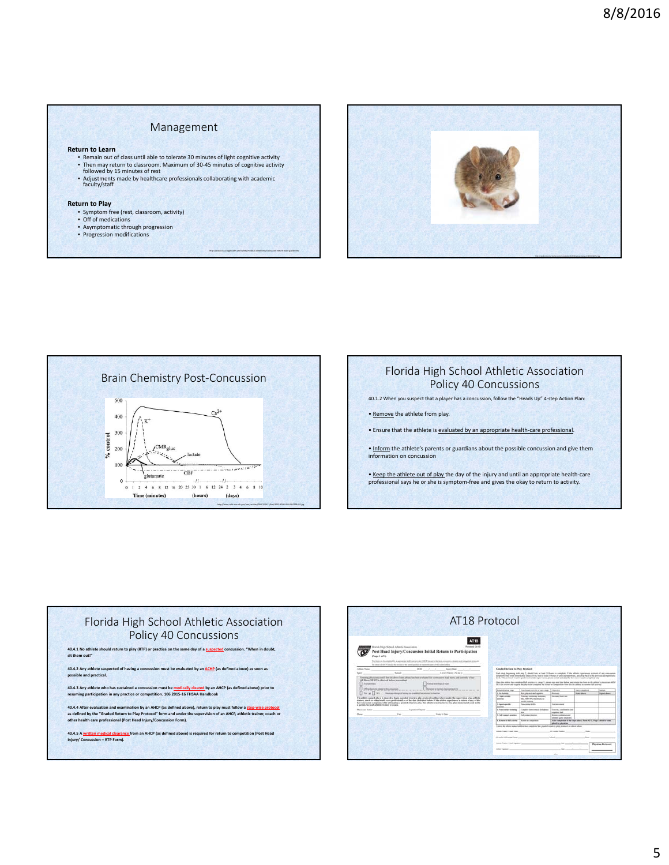### Management

#### **Return to Learn**

- Remain out of class until able to tolerate 30 minutes of light cognitive activity<br>• Then may return to classroom. Maximum of 30-45 minutes of cognitive activity<br>• followed by 15 minutes of rest
- 
- Adjustments made by healthcare professionals collaborating with academic faculty/staff

### **Return to Play**

- Symptom free (rest, classroom, activity) Off of medications
- 
- Asymptomatic through progression Progression modifications









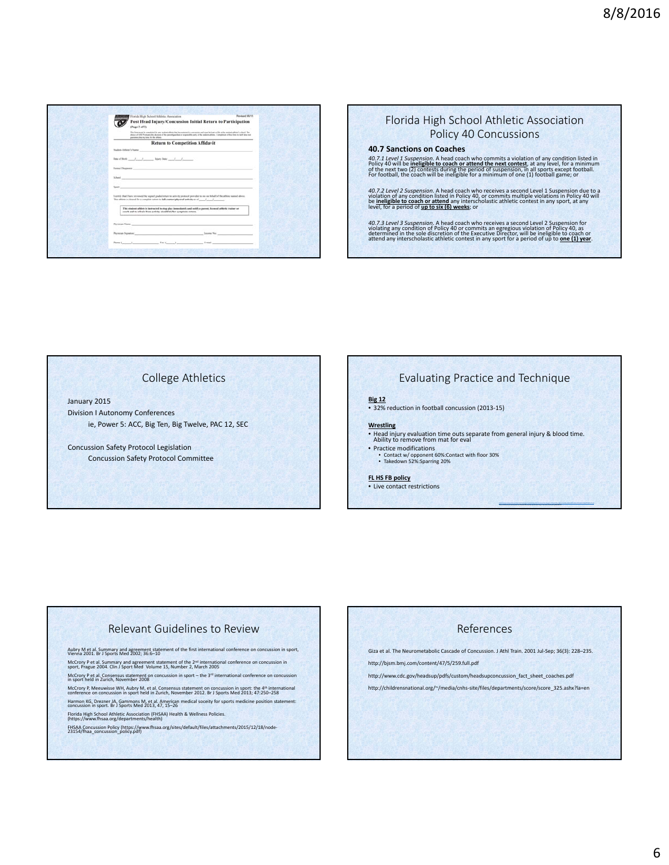

### Florida High School Athletic Association Policy 40 Concussions

### **40.7 Sanctions on Coaches**

**40.7.1 Level 1 Suspension.** A head coach who commits a violation of any condition listed in Policy 40 will be inellegible to coach or attend the next tonest, at any level, for a minimum of the next two (2) contests during

40.7.2 Level 2 Suspension. A head coach who receives a second Level 1 Suspension due to a violation of any condition listed in Policy 40, or commits multiple violations in Policy 40 will be ineligible to coach or attend an

40.7.3 Level 3 Suspension. A head coach who receives a second Level 2 Suspension for violating any condition of Policy 40 or commits an egregious violation of Policy 40, as determined in the sole discretion of the Executiv

# College Athletics

January 2015 Division I Autonomy Conferences ie, Power 5: ACC, Big Ten, Big Twelve, PAC 12, SEC

Concussion Safety Protocol Legislation Concussion Safety Protocol Committee

# Evaluating Practice and Technique

### **Big 12** • 32% reduction in football concussion (2013‐15)

- **Wrestling**
- Head injury evaluation time outs separate from general injury & blood time. Ability to remove from mat for eval
- Practice modifications • Contact w/ opponent 60%:Contact with floor 30% • Takedown 52%:Sparring 20%

#### **FL HS FB policy**

• Live contact restrictions

## Relevant Guidelines to Review

Aubry M et al. Summary and agreement statement of the first international conference on concussion in sport,<br>Vienna 2001. Br J Sports Med 2002; 36:6–10

McCrory P et al. Summary and agreement statement of the 2<sup>nd</sup> international conference on concussion in sport, Prague 2004. Clin J Sport Med Volume 15, Number 2, March 2005

McCrory P et al. Consensus statement on concussion in sport – the 3<sup>rd</sup> international conference on concussion in sport held in Zurich, November 2008

McCrory P, Meeuwisse WH, Aubry M, et al. Consensus statement on concussion in sport: the 4th international conference on concussion in sport held in Zurich, November 2012. Br <sup>J</sup> Sports Med 2013; 47:250–258

Harmon KG, Drezner JA, Gammons M, et al. American medical soceity for sports medicine position statement: concussion in sport. Br <sup>J</sup> Sports Med 2013, 47, 15–26

Florida High School Athletic Association (FHSAA) Health & Wellness Policies. (https://www.fhsaa.org/departments/health)

FHSAA Concussion Policy (https://www.fhsaa.org/sites/default/files/attachments/2015/12/18/node‐ 23154/fhaa\_concussion\_policy.pdf)

### References

Giza et al. The Neurometabolic Cascade of Concussion. J Athl Train. 2001 Jul-Sep; 36(3): 228-235. http://bjsm.bmj.com/content/47/5/259.full.pdf

http://www.cdc.gov/headsup/pdfs/custom/headsupconcussion\_fact\_sheet\_coaches.pdf

http://childrensnational.org/~/media/cnhs-site/files/departments/score/score\_325.ashx?la=en